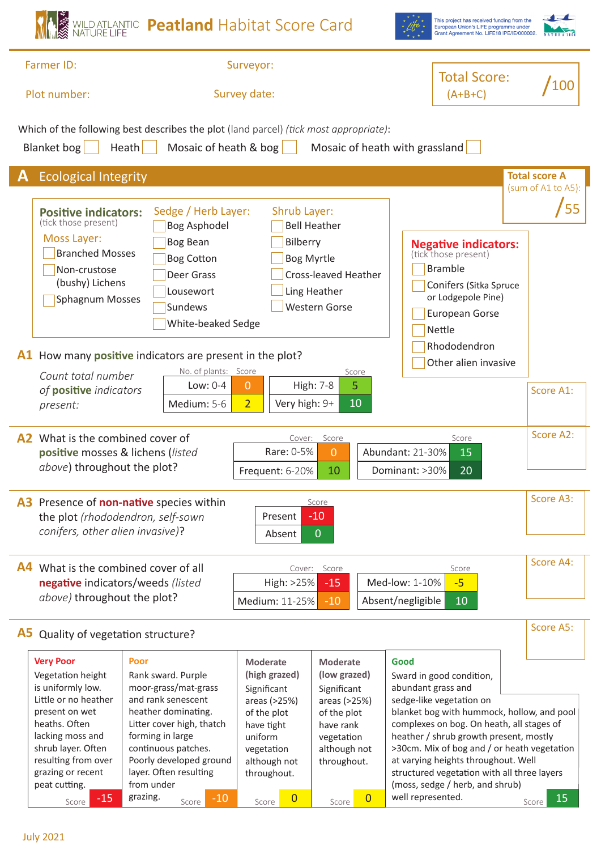|                                                                                                                                                                                                                                                 | WILD ATLANTIC <b>Peatland</b> Habitat Score Card                                                                                                                                                                                           |                                                                                                                                                      |                                                                                                                                         | This project has received funding from the<br>European Union's LIFE programme under<br>Grant Agreement No. LIFE18 IPE/IE/000002                                                                                                                                                                                                                                                                 |                                                  |
|-------------------------------------------------------------------------------------------------------------------------------------------------------------------------------------------------------------------------------------------------|--------------------------------------------------------------------------------------------------------------------------------------------------------------------------------------------------------------------------------------------|------------------------------------------------------------------------------------------------------------------------------------------------------|-----------------------------------------------------------------------------------------------------------------------------------------|-------------------------------------------------------------------------------------------------------------------------------------------------------------------------------------------------------------------------------------------------------------------------------------------------------------------------------------------------------------------------------------------------|--------------------------------------------------|
| Farmer ID:<br>Plot number:                                                                                                                                                                                                                      | Surveyor:<br>Survey date:                                                                                                                                                                                                                  |                                                                                                                                                      | <b>Total Score:</b><br>$(A+B+C)$                                                                                                        | 100                                                                                                                                                                                                                                                                                                                                                                                             |                                                  |
| <b>Blanket</b> bog                                                                                                                                                                                                                              | Which of the following best describes the plot (land parcel) (tick most appropriate):<br>Heath<br>Mosaic of heath & bog                                                                                                                    |                                                                                                                                                      |                                                                                                                                         | Mosaic of heath with grassland                                                                                                                                                                                                                                                                                                                                                                  |                                                  |
| <b>Ecological Integrity</b><br><b>Positive indicators:</b><br>(tick those present)<br>Moss Layer:<br><b>Branched Mosses</b><br>Non-crustose<br>(bushy) Lichens<br>Sphagnum Mosses                                                               | Sedge / Herb Layer:<br><b>Bog Asphodel</b><br><b>Bog Bean</b><br><b>Bog Cotton</b><br>Deer Grass<br>Lousewort<br>Sundews<br>White-beaked Sedge                                                                                             | Shrub Layer:<br>Bilberry                                                                                                                             | <b>Bell Heather</b><br><b>Bog Myrtle</b><br><b>Cross-leaved Heather</b><br>Ling Heather<br><b>Western Gorse</b>                         | <b>Negative indicators:</b><br>(tick those present)<br><b>Bramble</b><br>Conifers (Sitka Spruce<br>or Lodgepole Pine)<br>European Gorse<br>Nettle                                                                                                                                                                                                                                               | <b>Total score A</b><br>(sum of A1 to A5):<br>55 |
| Count total number<br>of positive indicators<br>present:                                                                                                                                                                                        | A1 How many positive indicators are present in the plot?<br>No. of plants: Score<br>Low: $0-4$<br>Medium: 5-6                                                                                                                              | $\overline{0}$<br>$\overline{2}$<br>Very high: 9+                                                                                                    | Score<br>5<br><b>High: 7-8</b><br>10                                                                                                    | Rhododendron<br>Other alien invasive                                                                                                                                                                                                                                                                                                                                                            | Score A1:                                        |
| A <sub>2</sub> What is the combined cover of<br>positive mosses & lichens (listed<br>above) throughout the plot?                                                                                                                                |                                                                                                                                                                                                                                            | Cover:<br>Rare: 0-5%<br>Frequent: 6-20%                                                                                                              | Score<br>$\Omega$<br>10                                                                                                                 | Score<br>Abundant: 21-30%<br>15<br>Dominant: >30%<br>20                                                                                                                                                                                                                                                                                                                                         | Score A2:                                        |
| the plot (rhododendron, self-sown<br>conifers, other alien invasive)?                                                                                                                                                                           | A3 Presence of non-native species within                                                                                                                                                                                                   | Present<br>Absent                                                                                                                                    | Score<br>$-10$<br>$\overline{0}$                                                                                                        |                                                                                                                                                                                                                                                                                                                                                                                                 | Score A3:                                        |
| <b>A4</b> What is the combined cover of all<br>Cover: Score<br>Score<br>negative indicators/weeds (listed<br>High: >25%<br>Med-low: 1-10%<br>$-5$<br>$-15$<br>above) throughout the plot?<br>Absent/negligible<br>Medium: 11-25%<br>$-10$<br>10 |                                                                                                                                                                                                                                            |                                                                                                                                                      |                                                                                                                                         |                                                                                                                                                                                                                                                                                                                                                                                                 | Score A4:                                        |
| A5<br>Quality of vegetation structure?                                                                                                                                                                                                          |                                                                                                                                                                                                                                            |                                                                                                                                                      |                                                                                                                                         |                                                                                                                                                                                                                                                                                                                                                                                                 | Score A5:                                        |
| <b>Very Poor</b><br>Vegetation height<br>is uniformly low.<br>Little or no heather<br>present on wet<br>heaths. Often<br>lacking moss and<br>shrub layer. Often<br>resulting from over<br>grazing or recent<br>peat cutting.                    | Poor<br>Rank sward. Purple<br>moor-grass/mat-grass<br>and rank senescent<br>heather dominating.<br>Litter cover high, thatch<br>forming in large<br>continuous patches.<br>Poorly developed ground<br>layer. Often resulting<br>from under | <b>Moderate</b><br>(high grazed)<br>Significant<br>areas (>25%)<br>of the plot<br>have tight<br>uniform<br>vegetation<br>although not<br>throughout. | <b>Moderate</b><br>(low grazed)<br>Significant<br>areas (>25%)<br>of the plot<br>have rank<br>vegetation<br>although not<br>throughout. | Good<br>Sward in good condition,<br>abundant grass and<br>sedge-like vegetation on<br>blanket bog with hummock, hollow, and pool<br>complexes on bog. On heath, all stages of<br>heather / shrub growth present, mostly<br>>30cm. Mix of bog and / or heath vegetation<br>at varying heights throughout. Well<br>structured vegetation with all three layers<br>(moss, sedge / herb, and shrub) |                                                  |